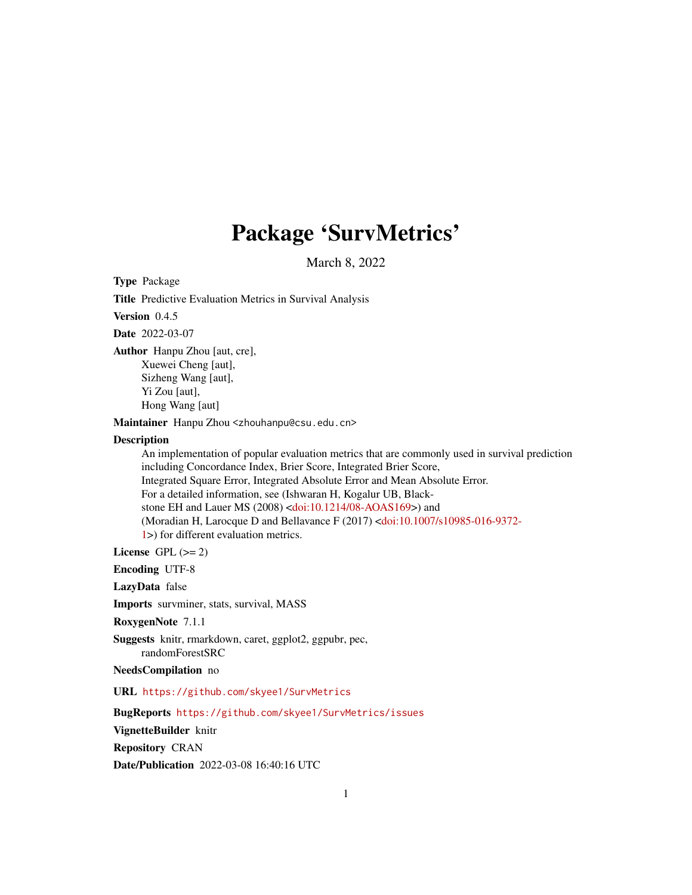## Package 'SurvMetrics'

March 8, 2022

Type Package

Title Predictive Evaluation Metrics in Survival Analysis

Version 0.4.5

Date 2022-03-07

Author Hanpu Zhou [aut, cre], Xuewei Cheng [aut], Sizheng Wang [aut], Yi Zou [aut], Hong Wang [aut]

Maintainer Hanpu Zhou <zhouhanpu@csu.edu.cn>

#### Description

An implementation of popular evaluation metrics that are commonly used in survival prediction including Concordance Index, Brier Score, Integrated Brier Score, Integrated Square Error, Integrated Absolute Error and Mean Absolute Error. For a detailed information, see (Ishwaran H, Kogalur UB, Blackstone EH and Lauer MS (2008) [<doi:10.1214/08-AOAS169>](https://doi.org/10.1214/08-AOAS169)) and (Moradian H, Larocque D and Bellavance F (2017) [<doi:10.1007/s10985-016-9372-](https://doi.org/10.1007/s10985-016-9372-1) [1>](https://doi.org/10.1007/s10985-016-9372-1)) for different evaluation metrics.

License GPL  $(>= 2)$ 

Encoding UTF-8

LazyData false

Imports survminer, stats, survival, MASS

RoxygenNote 7.1.1

Suggests knitr, rmarkdown, caret, ggplot2, ggpubr, pec, randomForestSRC

NeedsCompilation no

URL <https://github.com/skyee1/SurvMetrics>

BugReports <https://github.com/skyee1/SurvMetrics/issues>

VignetteBuilder knitr

Repository CRAN

Date/Publication 2022-03-08 16:40:16 UTC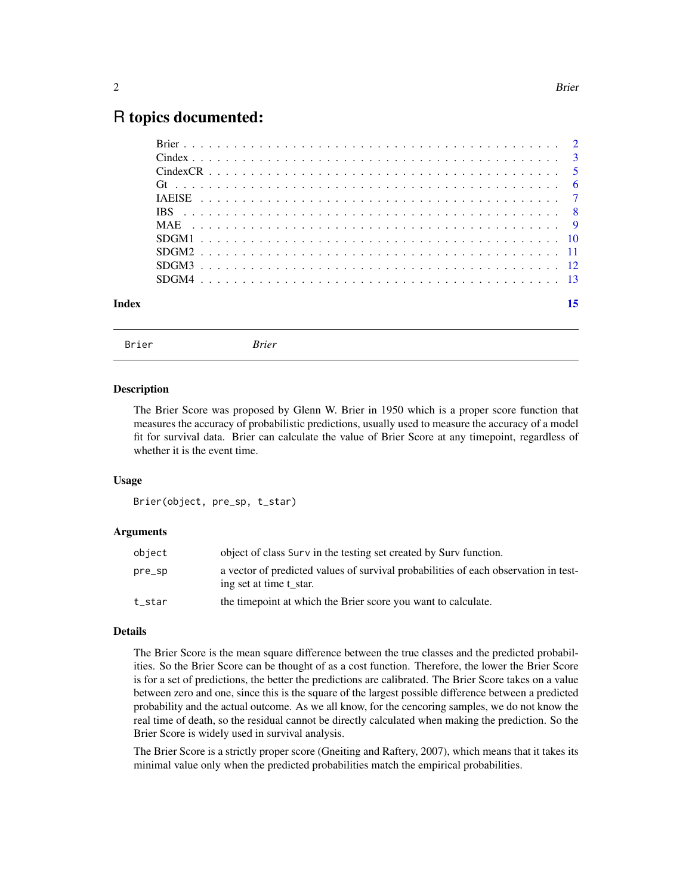### <span id="page-1-0"></span>R topics documented:

| Index |  |  |
|-------|--|--|
|       |  |  |

Brier *Brier*

#### Description

The Brier Score was proposed by Glenn W. Brier in 1950 which is a proper score function that measures the accuracy of probabilistic predictions, usually used to measure the accuracy of a model fit for survival data. Brier can calculate the value of Brier Score at any timepoint, regardless of whether it is the event time.

#### Usage

```
Brier(object, pre_sp, t_star)
```
#### Arguments

| object | object of class Surv in the testing set created by Surv function.                                              |
|--------|----------------------------------------------------------------------------------------------------------------|
| pre_sp | a vector of predicted values of survival probabilities of each observation in test-<br>ing set at time t star. |
| t_star | the time point at which the Brier score you want to calculate.                                                 |

#### Details

The Brier Score is the mean square difference between the true classes and the predicted probabilities. So the Brier Score can be thought of as a cost function. Therefore, the lower the Brier Score is for a set of predictions, the better the predictions are calibrated. The Brier Score takes on a value between zero and one, since this is the square of the largest possible difference between a predicted probability and the actual outcome. As we all know, for the cencoring samples, we do not know the real time of death, so the residual cannot be directly calculated when making the prediction. So the Brier Score is widely used in survival analysis.

The Brier Score is a strictly proper score (Gneiting and Raftery, 2007), which means that it takes its minimal value only when the predicted probabilities match the empirical probabilities.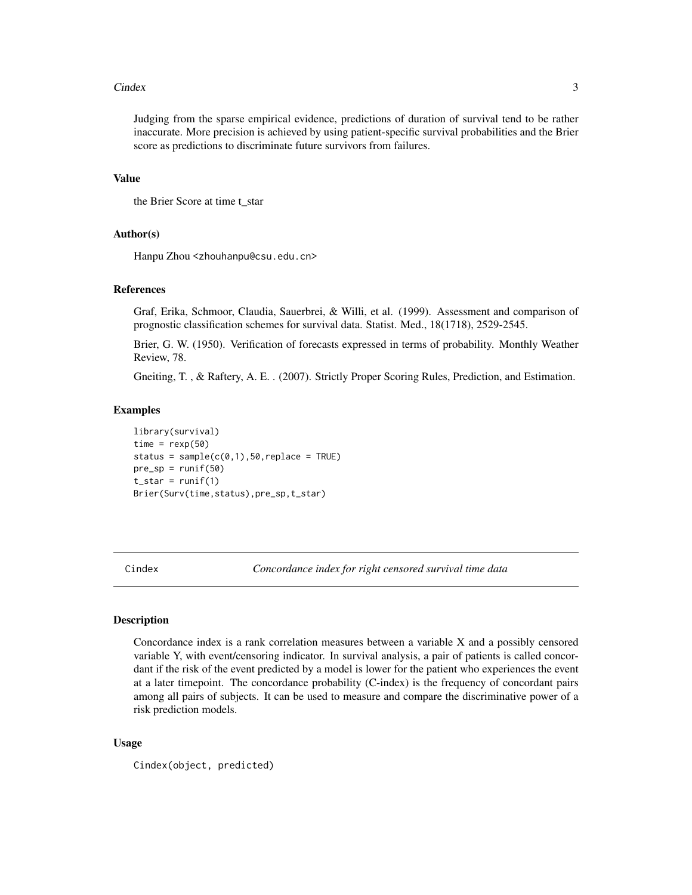#### <span id="page-2-0"></span>Cindex 3

Judging from the sparse empirical evidence, predictions of duration of survival tend to be rather inaccurate. More precision is achieved by using patient-specific survival probabilities and the Brier score as predictions to discriminate future survivors from failures.

#### Value

```
the Brier Score at time t_star
```
#### Author(s)

Hanpu Zhou <zhouhanpu@csu.edu.cn>

#### References

Graf, Erika, Schmoor, Claudia, Sauerbrei, & Willi, et al. (1999). Assessment and comparison of prognostic classification schemes for survival data. Statist. Med., 18(1718), 2529-2545.

Brier, G. W. (1950). Verification of forecasts expressed in terms of probability. Monthly Weather Review, 78.

Gneiting, T. , & Raftery, A. E. . (2007). Strictly Proper Scoring Rules, Prediction, and Estimation.

#### Examples

```
library(survival)
time = resp(50)status = sample(c(0,1),50,replace = TRUE)pre_sp = runif(50)t<sub>est</sub> = runif(1)Brier(Surv(time,status),pre_sp,t_star)
```
Cindex *Concordance index for right censored survival time data*

#### Description

Concordance index is a rank correlation measures between a variable X and a possibly censored variable Y, with event/censoring indicator. In survival analysis, a pair of patients is called concordant if the risk of the event predicted by a model is lower for the patient who experiences the event at a later timepoint. The concordance probability (C-index) is the frequency of concordant pairs among all pairs of subjects. It can be used to measure and compare the discriminative power of a risk prediction models.

#### Usage

Cindex(object, predicted)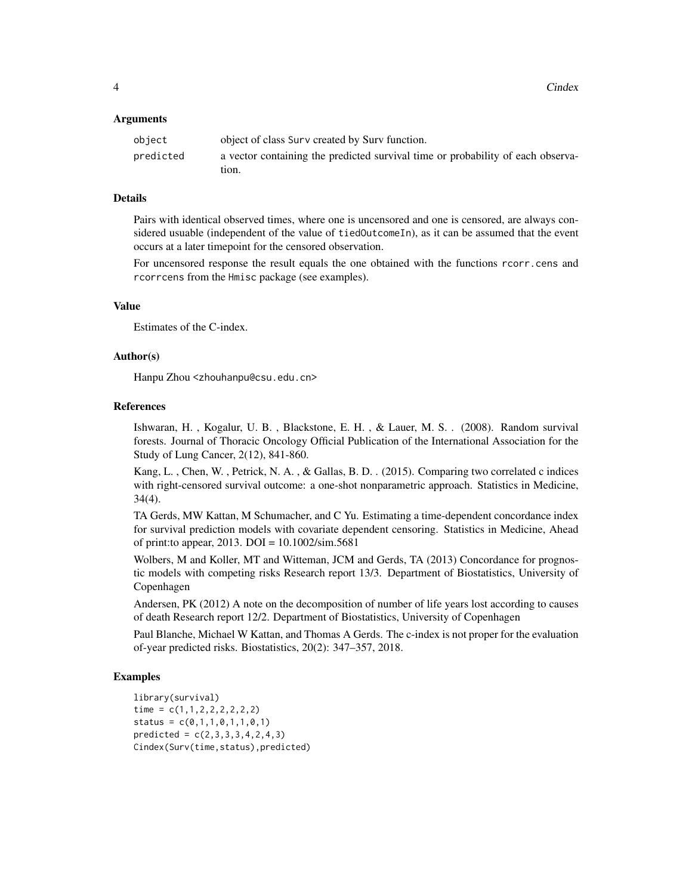#### **Arguments**

| object    | object of class Surv created by Surv function.                                  |
|-----------|---------------------------------------------------------------------------------|
| predicted | a vector containing the predicted survival time or probability of each observa- |
|           | tion.                                                                           |

#### **Details**

Pairs with identical observed times, where one is uncensored and one is censored, are always considered usuable (independent of the value of tiedOutcomeIn), as it can be assumed that the event occurs at a later timepoint for the censored observation.

For uncensored response the result equals the one obtained with the functions rcorr.cens and rcorrcens from the Hmisc package (see examples).

#### Value

Estimates of the C-index.

#### Author(s)

Hanpu Zhou <zhouhanpu@csu.edu.cn>

#### References

Ishwaran, H. , Kogalur, U. B. , Blackstone, E. H. , & Lauer, M. S. . (2008). Random survival forests. Journal of Thoracic Oncology Official Publication of the International Association for the Study of Lung Cancer, 2(12), 841-860.

Kang, L. , Chen, W. , Petrick, N. A. , & Gallas, B. D. . (2015). Comparing two correlated c indices with right-censored survival outcome: a one-shot nonparametric approach. Statistics in Medicine, 34(4).

TA Gerds, MW Kattan, M Schumacher, and C Yu. Estimating a time-dependent concordance index for survival prediction models with covariate dependent censoring. Statistics in Medicine, Ahead of print: to appear, 2013. DOI =  $10.1002/\text{sim}.5681$ 

Wolbers, M and Koller, MT and Witteman, JCM and Gerds, TA (2013) Concordance for prognostic models with competing risks Research report 13/3. Department of Biostatistics, University of Copenhagen

Andersen, PK (2012) A note on the decomposition of number of life years lost according to causes of death Research report 12/2. Department of Biostatistics, University of Copenhagen

Paul Blanche, Michael W Kattan, and Thomas A Gerds. The c-index is not proper for the evaluation of-year predicted risks. Biostatistics, 20(2): 347–357, 2018.

#### Examples

```
library(survival)
time = c(1,1,2,2,2,2,2,2)status = c(0,1,1,0,1,1,0,1)predicted = c(2, 3, 3, 3, 4, 2, 4, 3)Cindex(Surv(time,status),predicted)
```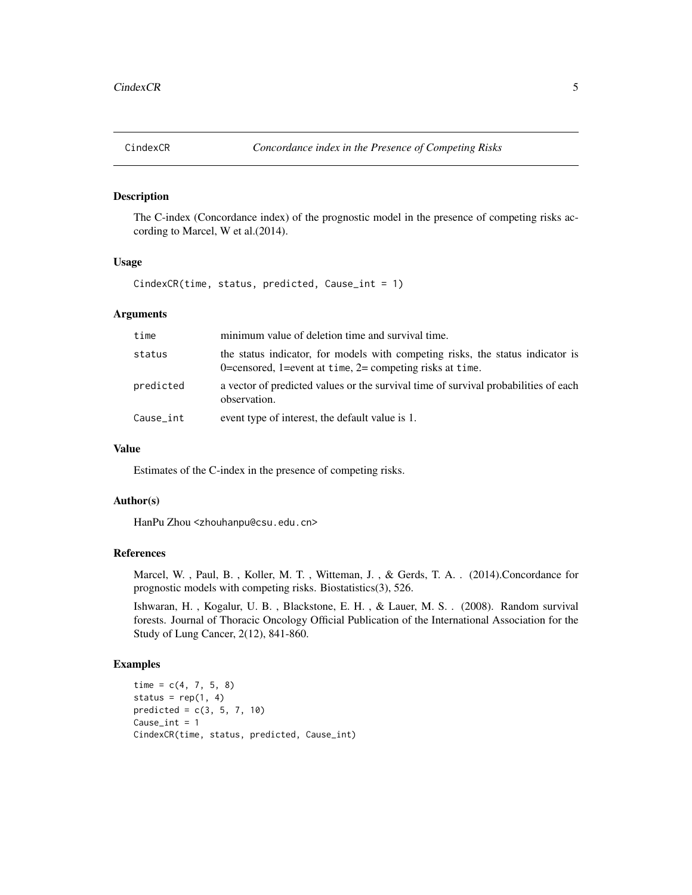#### <span id="page-4-0"></span>Description

The C-index (Concordance index) of the prognostic model in the presence of competing risks according to Marcel, W et al.(2014).

#### Usage

CindexCR(time, status, predicted, Cause\_int = 1)

#### Arguments

| time      | minimum value of deletion time and survival time.                                                                                             |
|-----------|-----------------------------------------------------------------------------------------------------------------------------------------------|
| status    | the status indicator, for models with competing risks, the status indicator is<br>0=censored, 1=event at time, $2$ = competing risks at time. |
| predicted | a vector of predicted values or the survival time of survival probabilities of each<br>observation.                                           |
| Cause_int | event type of interest, the default value is 1.                                                                                               |

#### Value

Estimates of the C-index in the presence of competing risks.

#### Author(s)

HanPu Zhou <zhouhanpu@csu.edu.cn>

#### References

Marcel, W. , Paul, B. , Koller, M. T. , Witteman, J. , & Gerds, T. A. . (2014).Concordance for prognostic models with competing risks. Biostatistics(3), 526.

Ishwaran, H. , Kogalur, U. B. , Blackstone, E. H. , & Lauer, M. S. . (2008). Random survival forests. Journal of Thoracic Oncology Official Publication of the International Association for the Study of Lung Cancer, 2(12), 841-860.

#### Examples

```
time = c(4, 7, 5, 8)status = rep(1, 4)predicted = c(3, 5, 7, 10)
Cause_int = 1CindexCR(time, status, predicted, Cause_int)
```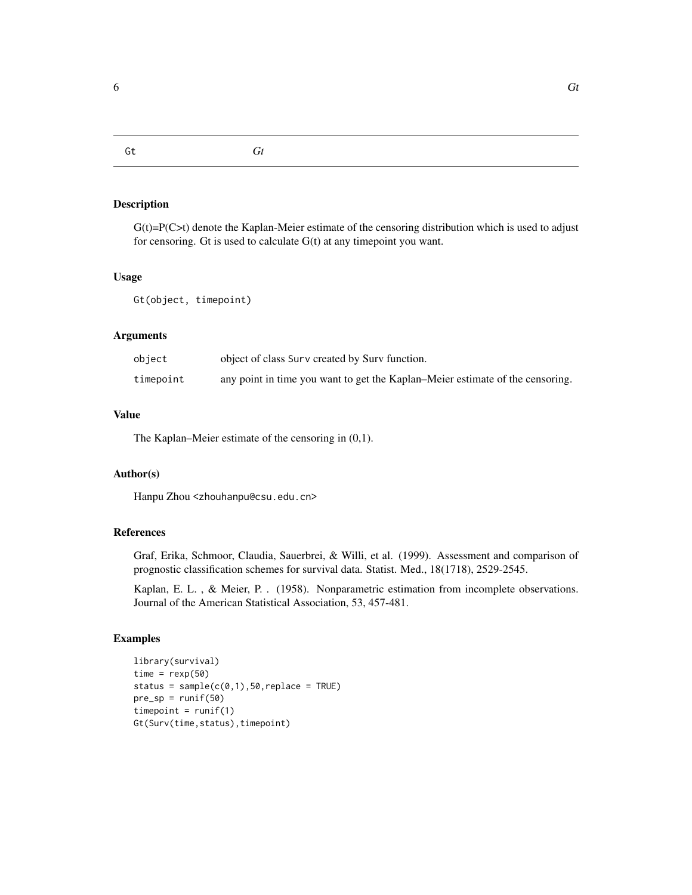<span id="page-5-0"></span>

Gt *Gt*

#### Description

 $G(t)=P(C>t)$  denote the Kaplan-Meier estimate of the censoring distribution which is used to adjust for censoring. Gt is used to calculate G(t) at any timepoint you want.

#### Usage

Gt(object, timepoint)

#### Arguments

| object    | object of class Surv created by Surv function.                                |
|-----------|-------------------------------------------------------------------------------|
| timepoint | any point in time you want to get the Kaplan–Meier estimate of the censoring. |

#### Value

The Kaplan–Meier estimate of the censoring in (0,1).

#### Author(s)

Hanpu Zhou <zhouhanpu@csu.edu.cn>

#### References

Graf, Erika, Schmoor, Claudia, Sauerbrei, & Willi, et al. (1999). Assessment and comparison of prognostic classification schemes for survival data. Statist. Med., 18(1718), 2529-2545.

Kaplan, E. L. , & Meier, P. . (1958). Nonparametric estimation from incomplete observations. Journal of the American Statistical Association, 53, 457-481.

#### Examples

```
library(survival)
time = resp(50)status = sample(c(0,1),50,replace = TRUE)pre_sp = runif(50)timepoint = runif(1)Gt(Surv(time,status),timepoint)
```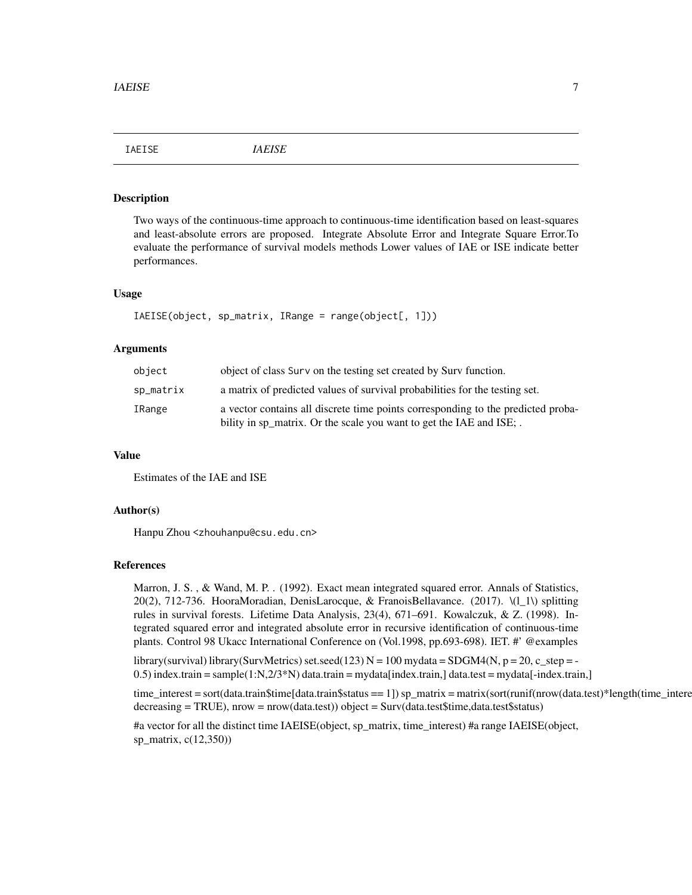<span id="page-6-0"></span>IAEISE *IAEISE*

#### **Description**

Two ways of the continuous-time approach to continuous-time identification based on least-squares and least-absolute errors are proposed. Integrate Absolute Error and Integrate Square Error.To evaluate the performance of survival models methods Lower values of IAE or ISE indicate better performances.

#### Usage

```
IAEISE(object, sp_matrix, IRange = range(object[, 1]))
```
#### Arguments

| object    | object of class Surv on the testing set created by Surv function.                                                                                       |
|-----------|---------------------------------------------------------------------------------------------------------------------------------------------------------|
| sp_matrix | a matrix of predicted values of survival probabilities for the testing set.                                                                             |
| IRange    | a vector contains all discrete time points corresponding to the predicted proba-<br>bility in sp_matrix. Or the scale you want to get the IAE and ISE;. |

#### Value

Estimates of the IAE and ISE

#### Author(s)

Hanpu Zhou <zhouhanpu@csu.edu.cn>

#### References

Marron, J. S. , & Wand, M. P. . (1992). Exact mean integrated squared error. Annals of Statistics, 20(2), 712-736. HooraMoradian, DenisLarocque, & FranoisBellavance. (2017). \(l\_1\) splitting rules in survival forests. Lifetime Data Analysis, 23(4), 671–691. Kowalczuk, & Z. (1998). Integrated squared error and integrated absolute error in recursive identification of continuous-time plants. Control 98 Ukacc International Conference on (Vol.1998, pp.693-698). IET. #' @examples

library(survival) library(SurvMetrics) set.seed(123)  $N = 100$  mydata = SDGM4(N, p = 20, c\_step = -0.5) index.train = sample(1:N,2/3\*N) data.train = mydata[index.train,] data.test = mydata[-index.train,]

time\_interest = sort(data.train\$time[data.train\$status == 1]) sp\_matrix = matrix(sort(runif(nrow(data.test)\*length(time\_interest) decreasing = TRUE), nrow = nrow(data.test)) object = Surv(data.test\$time,data.test\$status)

#a vector for all the distinct time IAEISE(object, sp\_matrix, time\_interest) #a range IAEISE(object, sp\_matrix, c(12,350))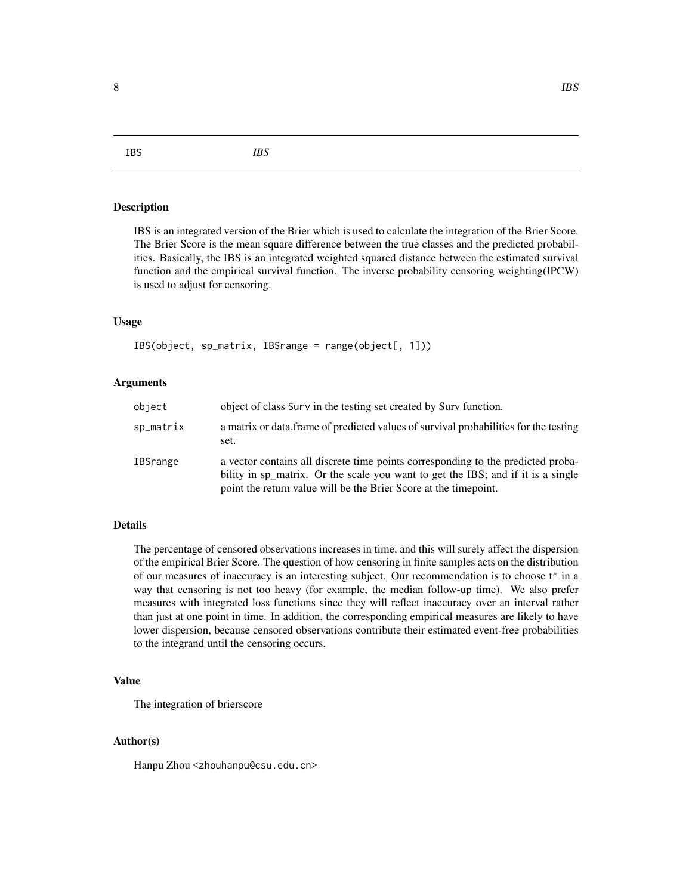<span id="page-7-0"></span>8 BS and the set of the set of the set of the set of the set of the set of the set of the set of the set of the set of the set of the set of the set of the set of the set of the set of the set of the set of the set of the

IBS *IBS*

#### Description

IBS is an integrated version of the Brier which is used to calculate the integration of the Brier Score. The Brier Score is the mean square difference between the true classes and the predicted probabilities. Basically, the IBS is an integrated weighted squared distance between the estimated survival function and the empirical survival function. The inverse probability censoring weighting(IPCW) is used to adjust for censoring.

#### Usage

IBS(object, sp\_matrix, IBSrange = range(object[, 1]))

#### Arguments

| object    | object of class Surv in the testing set created by Surv function.                                                                                                                                                                        |
|-----------|------------------------------------------------------------------------------------------------------------------------------------------------------------------------------------------------------------------------------------------|
| sp_matrix | a matrix or data frame of predicted values of survival probabilities for the testing<br>set.                                                                                                                                             |
| IBSrange  | a vector contains all discrete time points corresponding to the predicted proba-<br>bility in sp_matrix. Or the scale you want to get the IBS; and if it is a single<br>point the return value will be the Brier Score at the timepoint. |

#### Details

The percentage of censored observations increases in time, and this will surely affect the dispersion of the empirical Brier Score. The question of how censoring in finite samples acts on the distribution of our measures of inaccuracy is an interesting subject. Our recommendation is to choose t\* in a way that censoring is not too heavy (for example, the median follow-up time). We also prefer measures with integrated loss functions since they will reflect inaccuracy over an interval rather than just at one point in time. In addition, the corresponding empirical measures are likely to have lower dispersion, because censored observations contribute their estimated event-free probabilities to the integrand until the censoring occurs.

#### Value

The integration of brierscore

#### Author(s)

Hanpu Zhou <zhouhanpu@csu.edu.cn>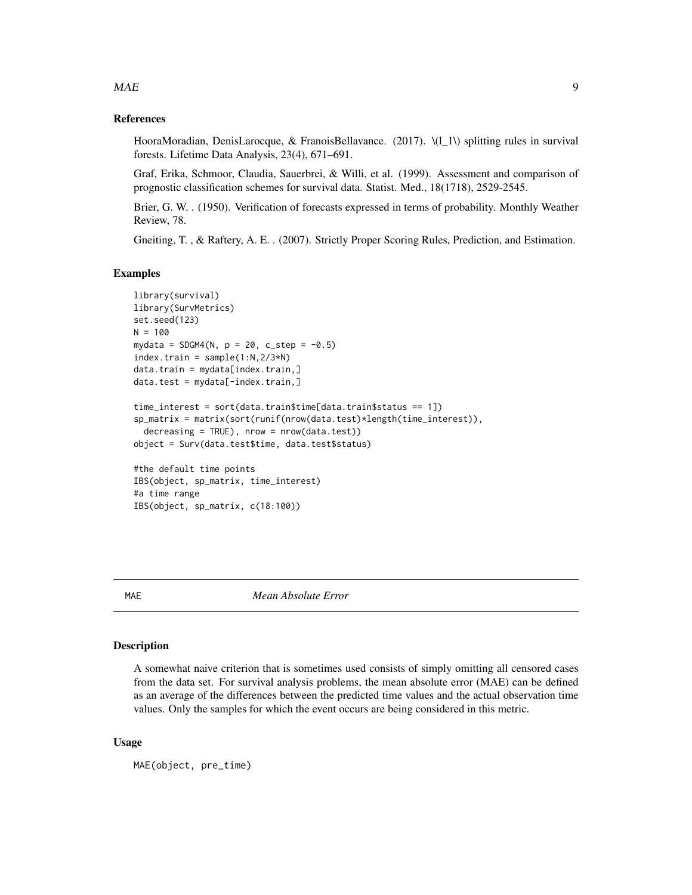#### <span id="page-8-0"></span> $MAE$  9

#### References

HooraMoradian, DenisLarocque, & FranoisBellavance. (2017).  $\lvert (1\text{-}1)\rvert$  splitting rules in survival forests. Lifetime Data Analysis, 23(4), 671–691.

Graf, Erika, Schmoor, Claudia, Sauerbrei, & Willi, et al. (1999). Assessment and comparison of prognostic classification schemes for survival data. Statist. Med., 18(1718), 2529-2545.

Brier, G. W. . (1950). Verification of forecasts expressed in terms of probability. Monthly Weather Review, 78.

Gneiting, T. , & Raftery, A. E. . (2007). Strictly Proper Scoring Rules, Prediction, and Estimation.

#### Examples

```
library(survival)
library(SurvMetrics)
set.seed(123)
N = 100mydata = SDGM4(N, p = 20, c\_step = -0.5)index.train = sample(1:N, 2/3*N)data.train = mydata[index.train, ]data.test = mydata[-index.train,]
time_interest = sort(data.train$time[data.train$status == 1])
sp_matrix = matrix(sort(runif(nrow(data.test)*length(time_interest)),
  decreasing = TRUE), nrow = nrow(data.test))
object = Surv(data.test$time, data.test$status)
#the default time points
IBS(object, sp_matrix, time_interest)
#a time range
IBS(object, sp_matrix, c(18:100))
```
MAE *Mean Absolute Error*

#### Description

A somewhat naive criterion that is sometimes used consists of simply omitting all censored cases from the data set. For survival analysis problems, the mean absolute error (MAE) can be defined as an average of the differences between the predicted time values and the actual observation time values. Only the samples for which the event occurs are being considered in this metric.

#### Usage

MAE(object, pre\_time)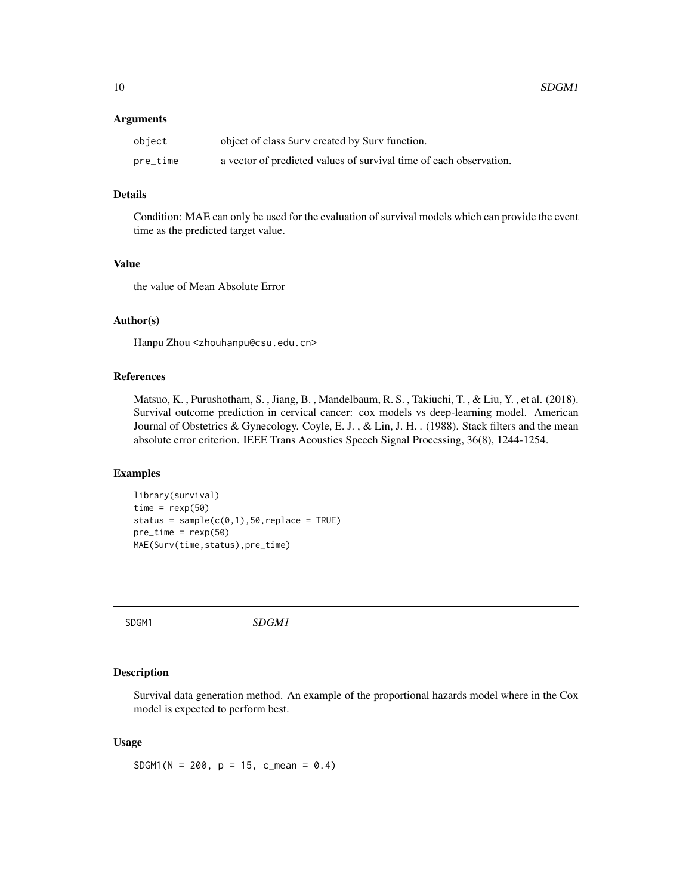#### <span id="page-9-0"></span>Arguments

| object   | object of class Surv created by Surv function.                     |
|----------|--------------------------------------------------------------------|
| pre_time | a vector of predicted values of survival time of each observation. |

#### Details

Condition: MAE can only be used for the evaluation of survival models which can provide the event time as the predicted target value.

#### Value

the value of Mean Absolute Error

#### Author(s)

Hanpu Zhou <zhouhanpu@csu.edu.cn>

#### References

Matsuo, K. , Purushotham, S. , Jiang, B. , Mandelbaum, R. S. , Takiuchi, T. , & Liu, Y. , et al. (2018). Survival outcome prediction in cervical cancer: cox models vs deep-learning model. American Journal of Obstetrics & Gynecology. Coyle, E. J. , & Lin, J. H. . (1988). Stack filters and the mean absolute error criterion. IEEE Trans Acoustics Speech Signal Processing, 36(8), 1244-1254.

#### Examples

```
library(survival)
time = resp(50)status = sample(c(0,1),50,replace = TRUE)pre_time = resp(50)MAE(Surv(time,status),pre_time)
```
SDGM1 *SDGM1*

#### Description

Survival data generation method. An example of the proportional hazards model where in the Cox model is expected to perform best.

#### Usage

SDGM1(N = 200, p = 15, c\_mean =  $0.4$ )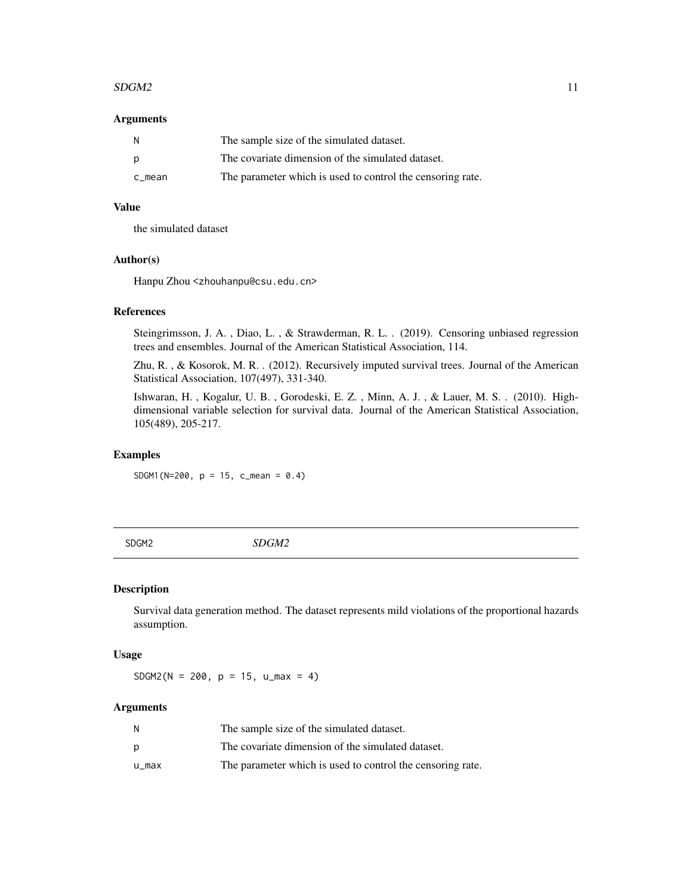#### <span id="page-10-0"></span> $SDGM2$  11

#### **Arguments**

| N      | The sample size of the simulated dataset.                  |
|--------|------------------------------------------------------------|
| p      | The covariate dimension of the simulated dataset.          |
| c mean | The parameter which is used to control the censoring rate. |

#### Value

the simulated dataset

#### Author(s)

Hanpu Zhou <zhouhanpu@csu.edu.cn>

#### References

Steingrimsson, J. A. , Diao, L. , & Strawderman, R. L. . (2019). Censoring unbiased regression trees and ensembles. Journal of the American Statistical Association, 114.

Zhu, R. , & Kosorok, M. R. . (2012). Recursively imputed survival trees. Journal of the American Statistical Association, 107(497), 331-340.

Ishwaran, H. , Kogalur, U. B. , Gorodeski, E. Z. , Minn, A. J. , & Lauer, M. S. . (2010). Highdimensional variable selection for survival data. Journal of the American Statistical Association, 105(489), 205-217.

#### Examples

SDGM1(N=200, p = 15, c\_mean = 0.4)

SDGM2 *SDGM2*

#### Description

Survival data generation method. The dataset represents mild violations of the proportional hazards assumption.

#### Usage

 $SDGM2(N = 200, p = 15, u_max = 4)$ 

#### Arguments

|       | The sample size of the simulated dataset.                  |
|-------|------------------------------------------------------------|
| D     | The covariate dimension of the simulated dataset.          |
| u_max | The parameter which is used to control the censoring rate. |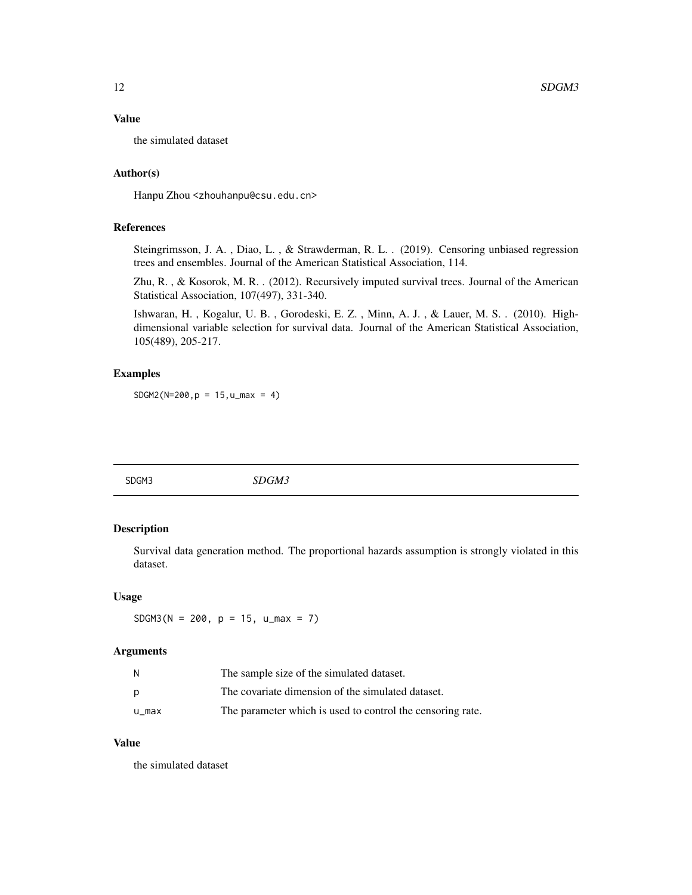#### <span id="page-11-0"></span>Value

the simulated dataset

#### Author(s)

Hanpu Zhou <zhouhanpu@csu.edu.cn>

#### References

Steingrimsson, J. A. , Diao, L. , & Strawderman, R. L. . (2019). Censoring unbiased regression trees and ensembles. Journal of the American Statistical Association, 114.

Zhu, R. , & Kosorok, M. R. . (2012). Recursively imputed survival trees. Journal of the American Statistical Association, 107(497), 331-340.

Ishwaran, H. , Kogalur, U. B. , Gorodeski, E. Z. , Minn, A. J. , & Lauer, M. S. . (2010). Highdimensional variable selection for survival data. Journal of the American Statistical Association, 105(489), 205-217.

#### Examples

 $SDGM2(N=200, p = 15, u_max = 4)$ 

SDGM3 *SDGM3*

#### Description

Survival data generation method. The proportional hazards assumption is strongly violated in this dataset.

#### Usage

 $SDSM3(N = 200, p = 15, u_max = 7)$ 

#### Arguments

| N     | The sample size of the simulated dataset.                  |
|-------|------------------------------------------------------------|
| D     | The covariate dimension of the simulated dataset.          |
| u_max | The parameter which is used to control the censoring rate. |

#### Value

the simulated dataset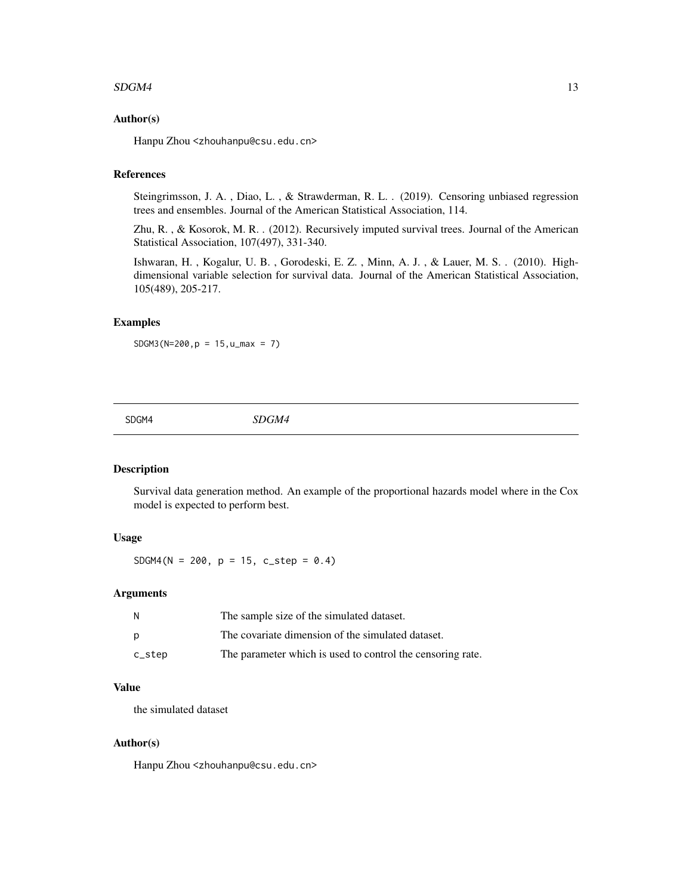#### <span id="page-12-0"></span> $SDGMA$  13

#### Author(s)

Hanpu Zhou <zhouhanpu@csu.edu.cn>

#### References

Steingrimsson, J. A. , Diao, L. , & Strawderman, R. L. . (2019). Censoring unbiased regression trees and ensembles. Journal of the American Statistical Association, 114.

Zhu, R. , & Kosorok, M. R. . (2012). Recursively imputed survival trees. Journal of the American Statistical Association, 107(497), 331-340.

Ishwaran, H. , Kogalur, U. B. , Gorodeski, E. Z. , Minn, A. J. , & Lauer, M. S. . (2010). Highdimensional variable selection for survival data. Journal of the American Statistical Association, 105(489), 205-217.

#### Examples

 $SDGM3(N=200, p = 15, u_max = 7)$ 

SDGM4 *SDGM4*

#### Description

Survival data generation method. An example of the proportional hazards model where in the Cox model is expected to perform best.

#### Usage

SDGM4(N = 200, p = 15, c\_step =  $0.4$ )

#### Arguments

| N      | The sample size of the simulated dataset.                  |
|--------|------------------------------------------------------------|
| D      | The covariate dimension of the simulated dataset.          |
| c_step | The parameter which is used to control the censoring rate. |

#### Value

the simulated dataset

#### Author(s)

Hanpu Zhou <zhouhanpu@csu.edu.cn>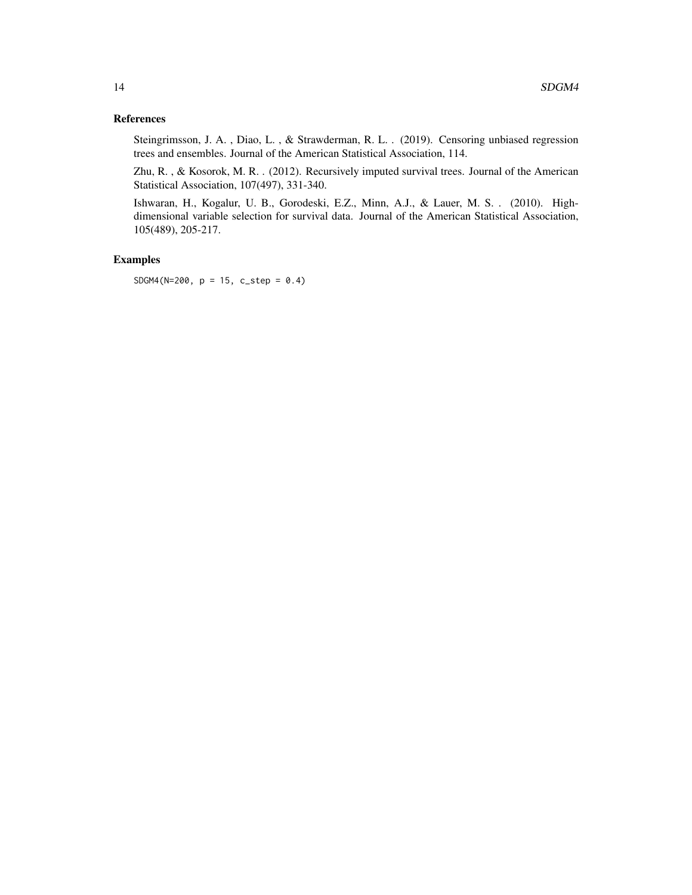#### References

Steingrimsson, J. A. , Diao, L. , & Strawderman, R. L. . (2019). Censoring unbiased regression trees and ensembles. Journal of the American Statistical Association, 114.

Zhu, R. , & Kosorok, M. R. . (2012). Recursively imputed survival trees. Journal of the American Statistical Association, 107(497), 331-340.

Ishwaran, H., Kogalur, U. B., Gorodeski, E.Z., Minn, A.J., & Lauer, M. S. . (2010). Highdimensional variable selection for survival data. Journal of the American Statistical Association, 105(489), 205-217.

#### Examples

SDGM4(N=200, p = 15, c\_step = 0.4)